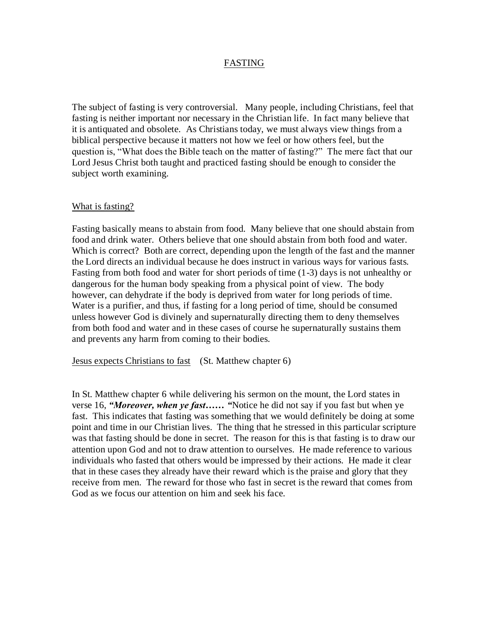#### FASTING

The subject of fasting is very controversial. Many people, including Christians, feel that fasting is neither important nor necessary in the Christian life. In fact many believe that it is antiquated and obsolete. As Christians today, we must always view things from a biblical perspective because it matters not how we feel or how others feel, but the question is, "What does the Bible teach on the matter of fasting?" The mere fact that our Lord Jesus Christ both taught and practiced fasting should be enough to consider the subject worth examining.

#### What is fasting?

Fasting basically means to abstain from food. Many believe that one should abstain from food and drink water. Others believe that one should abstain from both food and water. Which is correct? Both are correct, depending upon the length of the fast and the manner the Lord directs an individual because he does instruct in various ways for various fasts. Fasting from both food and water for short periods of time (1-3) days is not unhealthy or dangerous for the human body speaking from a physical point of view. The body however, can dehydrate if the body is deprived from water for long periods of time. Water is a purifier, and thus, if fasting for a long period of time, should be consumed unless however God is divinely and supernaturally directing them to deny themselves from both food and water and in these cases of course he supernaturally sustains them and prevents any harm from coming to their bodies.

Jesus expects Christians to fast (St. Matthew chapter 6)

In St. Matthew chapter 6 while delivering his sermon on the mount, the Lord states in verse 16, *"Moreover, when ye fast…… "*Notice he did not say if you fast but when ye fast. This indicates that fasting was something that we would definitely be doing at some point and time in our Christian lives. The thing that he stressed in this particular scripture was that fasting should be done in secret. The reason for this is that fasting is to draw our attention upon God and not to draw attention to ourselves. He made reference to various individuals who fasted that others would be impressed by their actions. He made it clear that in these cases they already have their reward which is the praise and glory that they receive from men. The reward for those who fast in secret is the reward that comes from God as we focus our attention on him and seek his face.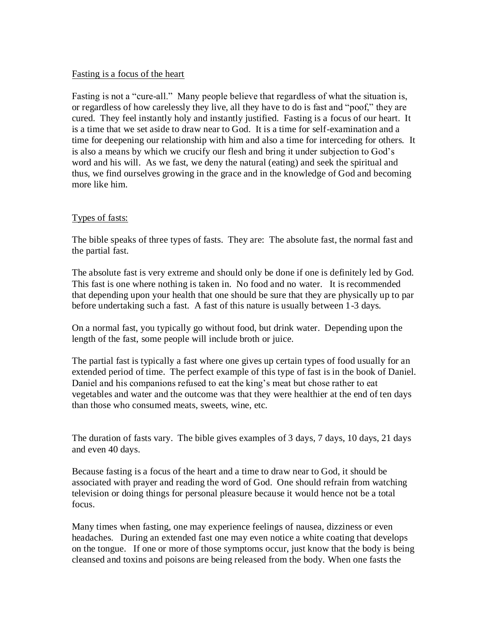### Fasting is a focus of the heart

Fasting is not a "cure-all." Many people believe that regardless of what the situation is, or regardless of how carelessly they live, all they have to do is fast and "poof," they are cured. They feel instantly holy and instantly justified. Fasting is a focus of our heart. It is a time that we set aside to draw near to God. It is a time for self-examination and a time for deepening our relationship with him and also a time for interceding for others. It is also a means by which we crucify our flesh and bring it under subjection to God's word and his will. As we fast, we deny the natural (eating) and seek the spiritual and thus, we find ourselves growing in the grace and in the knowledge of God and becoming more like him.

### Types of fasts:

The bible speaks of three types of fasts. They are: The absolute fast, the normal fast and the partial fast.

The absolute fast is very extreme and should only be done if one is definitely led by God. This fast is one where nothing is taken in. No food and no water. It is recommended that depending upon your health that one should be sure that they are physically up to par before undertaking such a fast. A fast of this nature is usually between 1-3 days.

On a normal fast, you typically go without food, but drink water. Depending upon the length of the fast, some people will include broth or juice.

The partial fast is typically a fast where one gives up certain types of food usually for an extended period of time. The perfect example of this type of fast is in the book of Daniel. Daniel and his companions refused to eat the king's meat but chose rather to eat vegetables and water and the outcome was that they were healthier at the end of ten days than those who consumed meats, sweets, wine, etc.

The duration of fasts vary. The bible gives examples of 3 days, 7 days, 10 days, 21 days and even 40 days.

Because fasting is a focus of the heart and a time to draw near to God, it should be associated with prayer and reading the word of God. One should refrain from watching television or doing things for personal pleasure because it would hence not be a total focus.

Many times when fasting, one may experience feelings of nausea, dizziness or even headaches. During an extended fast one may even notice a white coating that develops on the tongue. If one or more of those symptoms occur, just know that the body is being cleansed and toxins and poisons are being released from the body. When one fasts the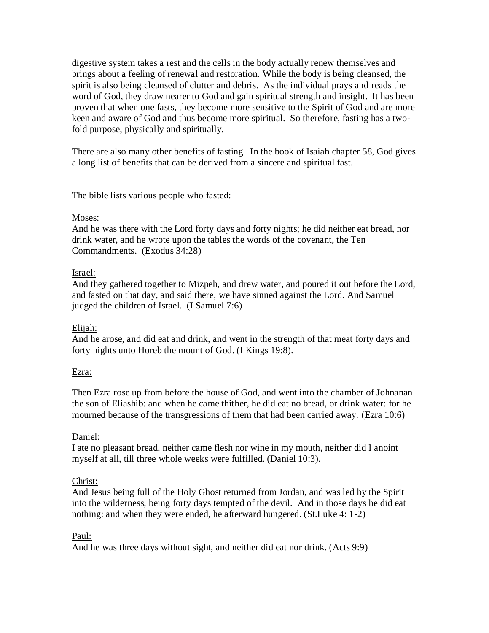digestive system takes a rest and the cells in the body actually renew themselves and brings about a feeling of renewal and restoration. While the body is being cleansed, the spirit is also being cleansed of clutter and debris. As the individual prays and reads the word of God, they draw nearer to God and gain spiritual strength and insight. It has been proven that when one fasts, they become more sensitive to the Spirit of God and are more keen and aware of God and thus become more spiritual. So therefore, fasting has a twofold purpose, physically and spiritually.

There are also many other benefits of fasting. In the book of Isaiah chapter 58, God gives a long list of benefits that can be derived from a sincere and spiritual fast.

The bible lists various people who fasted:

### Moses:

And he was there with the Lord forty days and forty nights; he did neither eat bread, nor drink water, and he wrote upon the tables the words of the covenant, the Ten Commandments. (Exodus 34:28)

# Israel:

And they gathered together to Mizpeh, and drew water, and poured it out before the Lord, and fasted on that day, and said there, we have sinned against the Lord. And Samuel judged the children of Israel. (I Samuel 7:6)

# Elijah:

And he arose, and did eat and drink, and went in the strength of that meat forty days and forty nights unto Horeb the mount of God. (I Kings 19:8).

### Ezra:

Then Ezra rose up from before the house of God, and went into the chamber of Johnanan the son of Eliashib: and when he came thither, he did eat no bread, or drink water: for he mourned because of the transgressions of them that had been carried away. (Ezra 10:6)

# Daniel:

I ate no pleasant bread, neither came flesh nor wine in my mouth, neither did I anoint myself at all, till three whole weeks were fulfilled. (Daniel 10:3).

# Christ:

And Jesus being full of the Holy Ghost returned from Jordan, and was led by the Spirit into the wilderness, being forty days tempted of the devil. And in those days he did eat nothing: and when they were ended, he afterward hungered. (St.Luke 4: 1-2)

# Paul:

And he was three days without sight, and neither did eat nor drink. (Acts 9:9)